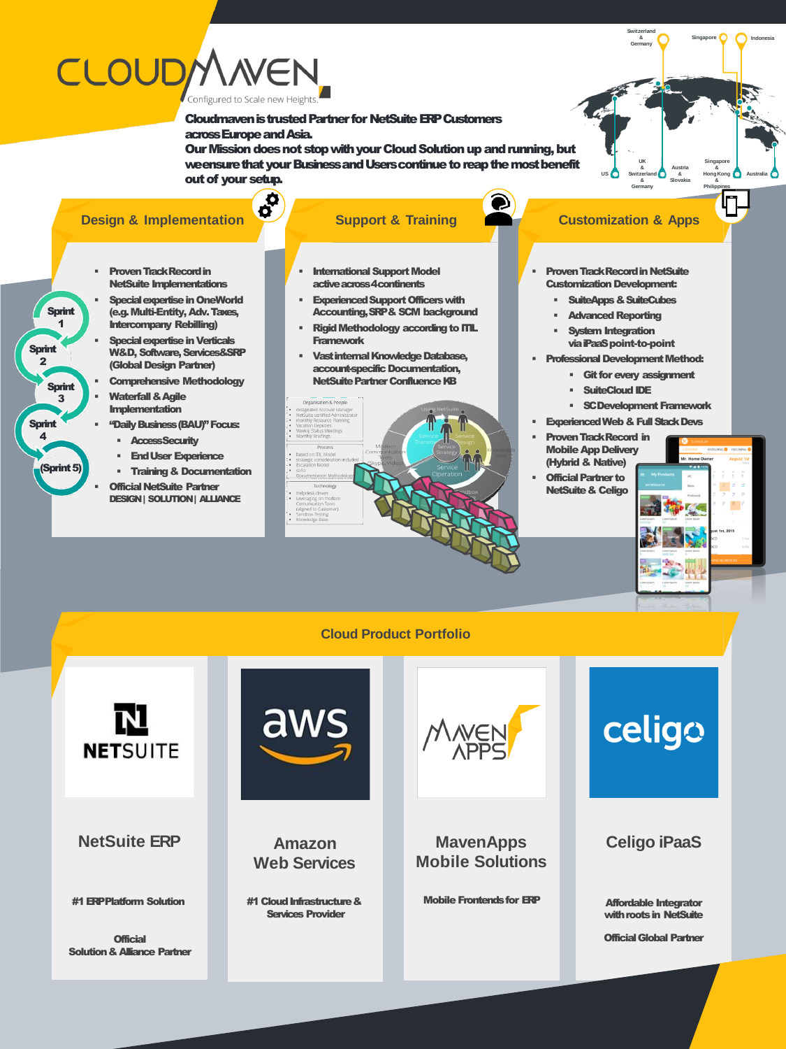## **CLOUDM** Configured to Scale new Height:

Cloudmaven is trusted Partner for NetSuite ERPCustomers across Europe and Asia.

O

Our Mission does not stop with your Cloud Solution up and running, but we ensure that your Business and Users continue to reap the most benefit out of your setup.

### **Design & Implementation**<br> **Support & Training**

- **Proven Track Record in** NetSuite Implementations
- **Special expertise in OneWorld** (e.g. Multi-Entity, Adv. Taxes, Intercompany Rebilling)
- **Special expertise in Verticals** W&D, Software, Services&SRP (Global Design Partner)
- **Comprehensive Methodology**
- **Waterfall & Agile** Implementation

Sprint 1

Sprint 3

(Sprint 5)

**Sprint**  $\overline{\mathbf{2}}$ 

**Sprint**  $\Delta$ 

- "Daily Business (BAU)" Focus:
	- Access Security
	- **End User Experience**
	- Training & Documentation
- **Official NetSuite Partner** DESIGN | SOLUTION | ALLIANCE
- 
- **International Support Model** active across 4continents
- Experienced Support Officers with Accounting, SRP & SCM background
- Rigid Methodology according to ITIL **Framework**
- Vast internal Knowledge Database, account-specific Documentation, NetSuite Partner Confluence KB



**Switzerland & Germany**

**UK & Switzerland & Germany**

- **Proven Track Record in NetSuite Customization Development:** 
	- **SuiteApps & SuiteCubes**
	- **Advanced Reporting**
	- System Integration via iPaaSpoint-to-point
- **Professional Development Method:** 
	- Git for every assignment
	- **SuiteCloud IDE**
	- **SC Development Framework**
- **Experienced Web & Full Stack Devs**
- **Proven Track Record in** Mobile App Delivery (Hybrid & Native)
- **Official Partner to** NetSuite & Celigo



**Indonesia**

**Singapore**

**Philippines**

**Singapore**

**Austria & & HongKong Slovakia &** US **Witzerland** 8 Hong Kong **Australia** 

#### **Cloud Product Portfolio**



**NetSuite ERP**

#1 ERP Platform Solution

**Official** Solution & Alliance Partner



**Amazon Web Services**

#1 Cloud Infrastructure & Services Provider



**MavenApps Mobile Solutions**

Mobile Frontends for ERP

# celigo

#### **Celigo iPaaS**

Affordable Integrator with roots in NetSuite

Official Global Partner